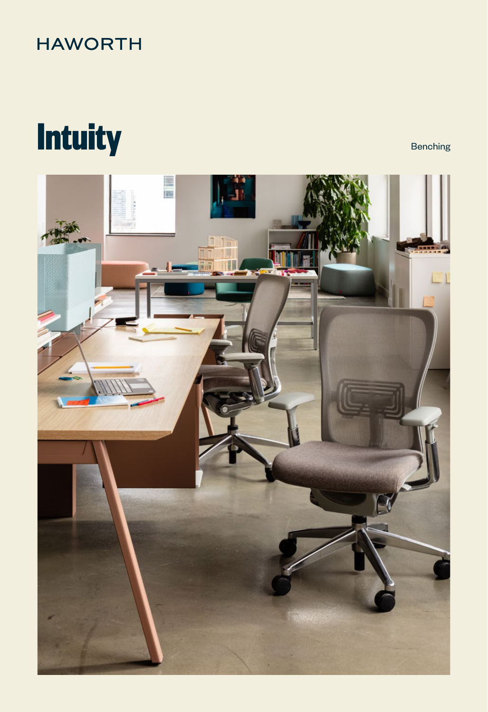## **HAWORTH**

# **Intuity** Benching

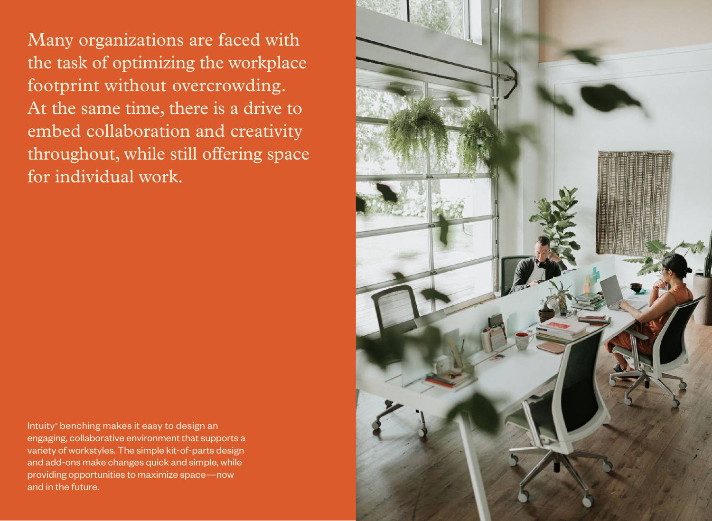Many organizations are faced with the task of optimizing the workplace footprint without overcrowding. At the same time, there is a drive to embed collaboration and creativity throughout, while still offering space for individual work.

Intuity<sup>®</sup> benching makes it easy to design an engaging, collaborative environment that supports a variety of workstyles. The simple kit-of-parts design and add-ons make changes quick and simple, while providing opportunities to maximize space—now and in the future.

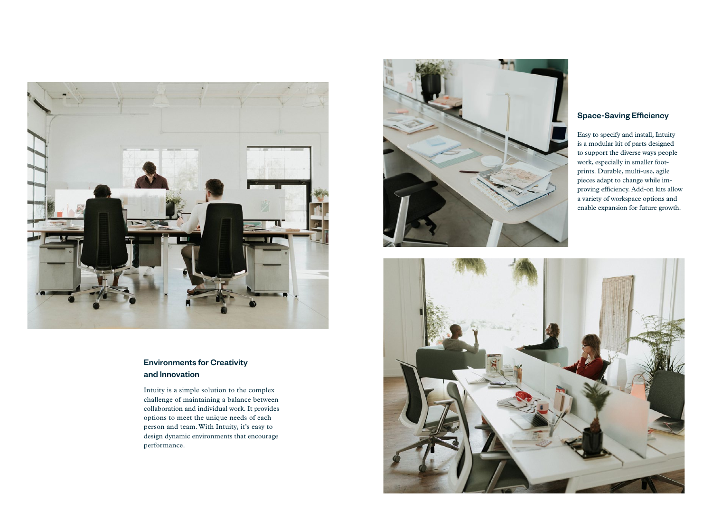

#### Environments for Creativity and Innovation

Intuity is a simple solution to the complex challenge of maintaining a balance between collaboration and individual work. It provides options to meet the unique needs of each person and team. With Intuity, it's easy to design dynamic environments that encourage performance.



#### Space-Saving Efficiency

Easy to specify and install, Intuity is a modular kit of parts designed to support the diverse ways people work, especially in smaller footprints. Durable, multi-use, agile pieces adapt to change while improving efficiency. Add-on kits allow a variety of workspace options and enable expansion for future growth.

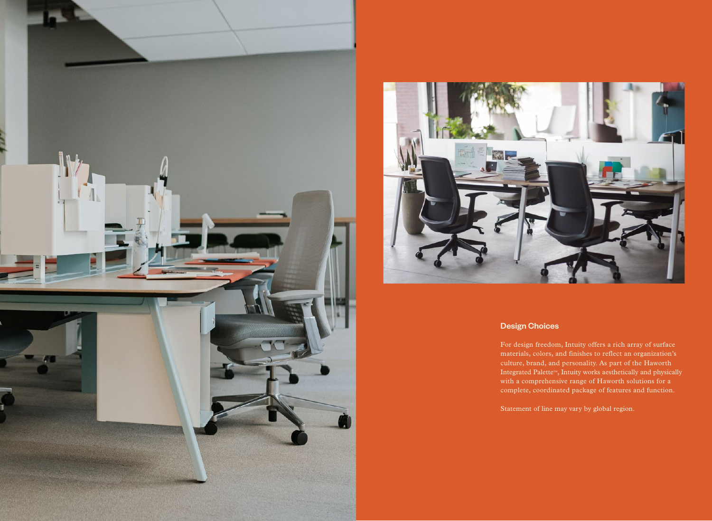



#### Design Choices

For design freedom, Intuity offers a rich array of surface materials, colors, and finishes to reflect an organization's culture, brand, and personality. As part of the Haworth Integrated Palette™, Intuity works aesthetically and physically with a comprehensive range of Haworth solutions for a complete, coordinated package of features and function.

Statement of line may vary by global region.